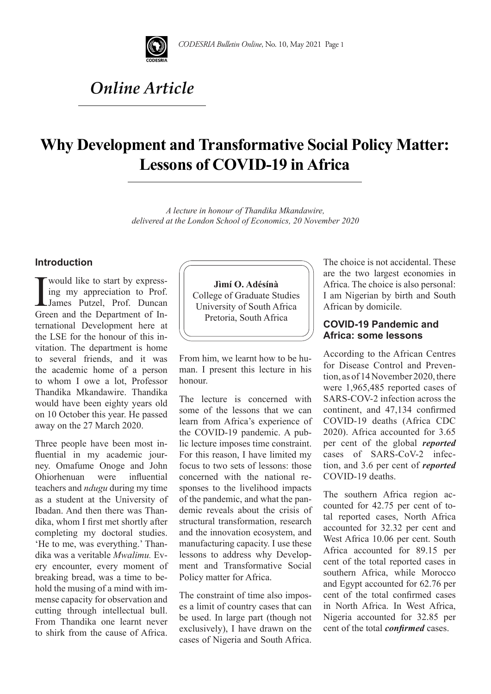

# *Online Article*

# **Why Development and Transformative Social Policy Matter: Lessons of COVID-19 in Africa**

*A lecture in honour of Thandika Mkandawire, delivered at the London School of Economics, 20 November 2020*

#### **Introduction**

I would like to start by express-<br>ing my appreciation to Prof.<br>James Putzel, Prof. Duncan ing my appreciation to Prof. James Putzel, Prof. Duncan Green and the Department of International Development here at the LSE for the honour of this invitation. The department is home to several friends, and it was the academic home of a person to whom I owe a lot, Professor Thandika Mkandawire. Thandika would have been eighty years old on 10 October this year. He passed away on the 27 March 2020.

Three people have been most influential in my academic journey. Omafume Onoge and John Ohiorhenuan were influential teachers and *ndugu* during my time as a student at the University of Ibadan. And then there was Thandika, whom I first met shortly after completing my doctoral studies. 'He to me, was everything.' Thandika was a veritable *Mwalimu.* Every encounter, every moment of breaking bread, was a time to behold the musing of a mind with immense capacity for observation and cutting through intellectual bull. From Thandika one learnt never to shirk from the cause of Africa.

**Jìmí O. Adésínà** College of Graduate Studies University of South Africa Pretoria, South Africa

From him, we learnt how to be human. I present this lecture in his honour.

The lecture is concerned with some of the lessons that we can learn from Africa's experience of the COVID-19 pandemic. A public lecture imposes time constraint. For this reason, I have limited my focus to two sets of lessons: those concerned with the national responses to the livelihood impacts of the pandemic, and what the pandemic reveals about the crisis of structural transformation, research and the innovation ecosystem, and manufacturing capacity. I use these lessons to address why Development and Transformative Social Policy matter for Africa.

The constraint of time also imposes a limit of country cases that can be used. In large part (though not exclusively), I have drawn on the cases of Nigeria and South Africa. The choice is not accidental. These are the two largest economies in Africa. The choice is also personal: I am Nigerian by birth and South African by domicile.

### **COVID-19 Pandemic and Africa: some lessons**

According to the African Centres for Disease Control and Prevention, as of 14 November 2020, there were 1,965,485 reported cases of SARS-COV-2 infection across the continent, and 47,134 confirmed COVID-19 deaths (Africa CDC 2020). Africa accounted for 3.65 per cent of the global *reported*  cases of SARS-CoV-2 infection, and 3.6 per cent of *reported* COVID-19 deaths.

The southern Africa region accounted for 42.75 per cent of total reported cases, North Africa accounted for 32.32 per cent and West Africa 10.06 per cent. South Africa accounted for 89.15 per cent of the total reported cases in southern Africa, while Morocco and Egypt accounted for 62.76 per cent of the total confirmed cases in North Africa. In West Africa, Nigeria accounted for 32.85 per cent of the total *confirmed* cases.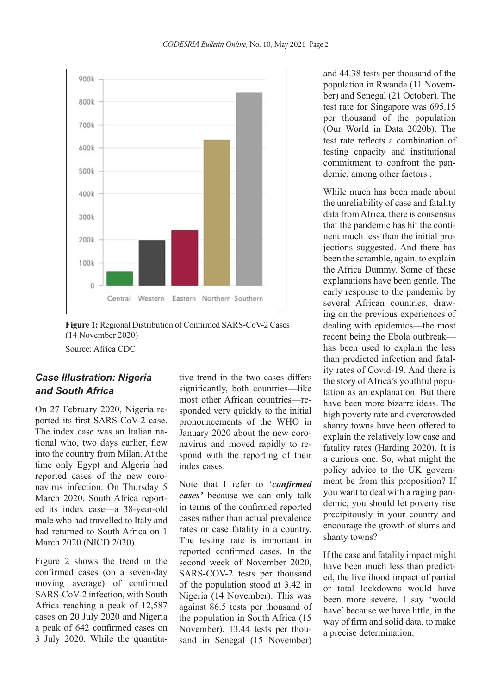



Source: Africa CDC

## *Case Illustration: Nigeria and South Africa*

On 27 February 2020, Nigeria reported its first SARS-CoV-2 case. The index case was an Italian national who, two days earlier, flew into the country from Milan. At the time only Egypt and Algeria had reported cases of the new coronavirus infection. On Thursday 5 March 2020, South Africa reported its index case—a 38-year-old male who had travelled to Italy and had returned to South Africa on 1 March 2020 (NICD 2020).

Figure 2 shows the trend in the confirmed cases (on a seven-day moving average) of confirmed SARS-CoV-2 infection, with South Africa reaching a peak of 12,587 cases on 20 July 2020 and Nigeria a peak of 642 confirmed cases on 3 July 2020. While the quantitative trend in the two cases differs significantly, both countries—like most other African countries—responded very quickly to the initial pronouncements of the WHO in January 2020 about the new coronavirus and moved rapidly to respond with the reporting of their index cases.

Note that I refer to '*confirmed cases'* because we can only talk in terms of the confirmed reported cases rather than actual prevalence rates or case fatality in a country. The testing rate is important in reported confirmed cases. In the second week of November 2020, SARS-COV-2 tests per thousand of the population stood at 3.42 in Nigeria (14 November). This was against 86.5 tests per thousand of the population in South Africa (15 November), 13.44 tests per thousand in Senegal (15 November)

and 44.38 tests per thousand of the population in Rwanda (11 November) and Senegal (21 October). The test rate for Singapore was 695.15 per thousand of the population (Our World in Data 2020b). The test rate reflects a combination of testing capacity and institutional commitment to confront the pandemic, among other factors .

While much has been made about the unreliability of case and fatality data from Africa, there is consensus that the pandemic has hit the continent much less than the initial projections suggested. And there has been the scramble, again, to explain the Africa Dummy. Some of these explanations have been gentle. The early response to the pandemic by several African countries, drawing on the previous experiences of dealing with epidemics—the most recent being the Ebola outbreak has been used to explain the less than predicted infection and fatality rates of Covid-19. And there is the story of Africa's youthful population as an explanation. But there have been more bizarre ideas. The high poverty rate and overcrowded shanty towns have been offered to explain the relatively low case and fatality rates (Harding 2020). It is a curious one. So, what might the policy advice to the UK government be from this proposition? If you want to deal with a raging pandemic, you should let poverty rise precipitously in your country and encourage the growth of slums and shanty towns?

If the case and fatality impact might have been much less than predicted, the livelihood impact of partial or total lockdowns would have been more severe. I say 'would have' because we have little, in the way of firm and solid data, to make a precise determination.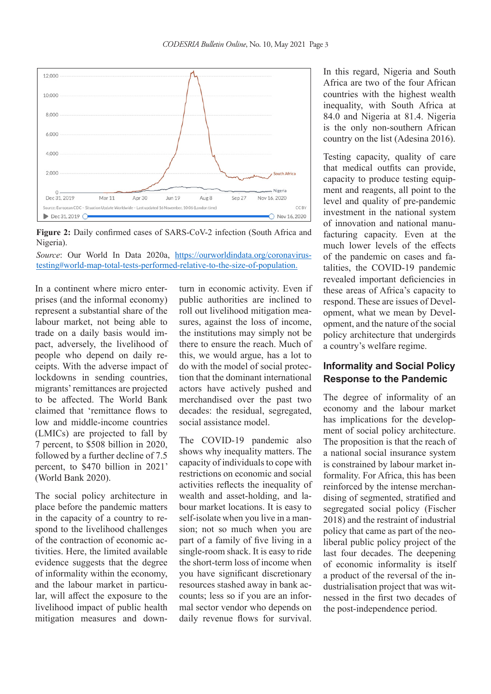*CODESRIA Bulletin Online*, No. 10, May 2021 Page 3



**Figure 2:** Daily confirmed cases of SARS-CoV-2 infection (South Africa and Nigeria).

Source: Our World In Data 2020a, https://ourworldindata.org/coronavirustesting#world-map-total-tests-performed-relative-to-the-size-of-population.

In a continent where micro enterprises (and the informal economy) represent a substantial share of the labour market, not being able to trade on a daily basis would impact, adversely, the livelihood of people who depend on daily receipts. With the adverse impact of lockdowns in sending countries, migrants' remittances are projected to be affected. The World Bank claimed that 'remittance flows to low and middle-income countries (LMICs) are projected to fall by 7 percent, to \$508 billion in 2020, followed by a further decline of 7.5 percent, to \$470 billion in 2021' (World Bank 2020).

The social policy architecture in place before the pandemic matters in the capacity of a country to respond to the livelihood challenges of the contraction of economic activities. Here, the limited available evidence suggests that the degree of informality within the economy, and the labour market in particular, will affect the exposure to the livelihood impact of public health mitigation measures and down-

turn in economic activity. Even if public authorities are inclined to roll out livelihood mitigation measures, against the loss of income, the institutions may simply not be there to ensure the reach. Much of this, we would argue, has a lot to do with the model of social protection that the dominant international actors have actively pushed and merchandised over the past two decades: the residual, segregated, social assistance model.

The COVID-19 pandemic also shows why inequality matters. The capacity of individuals to cope with restrictions on economic and social activities reflects the inequality of wealth and asset-holding, and labour market locations. It is easy to self-isolate when you live in a mansion; not so much when you are part of a family of five living in a single-room shack. It is easy to ride the short-term loss of income when you have significant discretionary resources stashed away in bank accounts; less so if you are an informal sector vendor who depends on daily revenue flows for survival.

In this regard, Nigeria and South Africa are two of the four African countries with the highest wealth inequality, with South Africa at 84.0 and Nigeria at 81.4. Nigeria is the only non-southern African country on the list (Adesina 2016).

Testing capacity, quality of care that medical outfits can provide, capacity to produce testing equipment and reagents, all point to the level and quality of pre-pandemic investment in the national system of innovation and national manufacturing capacity. Even at the much lower levels of the effects of the pandemic on cases and fatalities, the COVID-19 pandemic revealed important deficiencies in these areas of Africa's capacity to respond. These are issues of Development, what we mean by Development, and the nature of the social policy architecture that undergirds a country's welfare regime.

### **Informality and Social Policy Response to the Pandemic**

The degree of informality of an economy and the labour market has implications for the development of social policy architecture. The proposition is that the reach of a national social insurance system is constrained by labour market informality. For Africa, this has been reinforced by the intense merchandising of segmented, stratified and segregated social policy (Fischer 2018) and the restraint of industrial policy that came as part of the neoliberal public policy project of the last four decades. The deepening of economic informality is itself a product of the reversal of the industrialisation project that was witnessed in the first two decades of the post-independence period.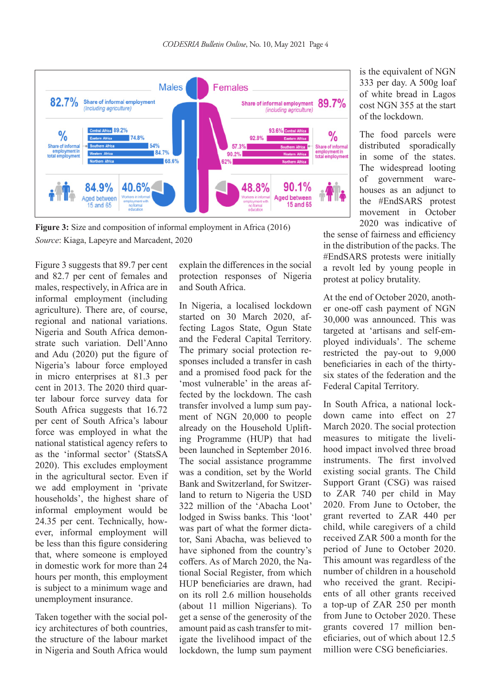

**Figure 3:** Size and composition of informal employment in Africa (2016) *Source*: Kiaga, Lapeyre and Marcadent, 2020

Figure 3 suggests that 89.7 per cent and 82.7 per cent of females and males, respectively, in Africa are in informal employment (including agriculture). There are, of course, regional and national variations. Nigeria and South Africa demonstrate such variation. Dell'Anno and Adu (2020) put the figure of Nigeria's labour force employed in micro enterprises at 81.3 per cent in 2013. The 2020 third quarter labour force survey data for South Africa suggests that 16.72 per cent of South Africa's labour force was employed in what the national statistical agency refers to as the 'informal sector' (StatsSA 2020). This excludes employment in the agricultural sector. Even if we add employment in 'private households', the highest share of informal employment would be 24.35 per cent. Technically, however, informal employment will be less than this figure considering that, where someone is employed in domestic work for more than 24 hours per month, this employment is subject to a minimum wage and unemployment insurance.

Taken together with the social policy architectures of both countries, the structure of the labour market in Nigeria and South Africa would explain the differences in the social protection responses of Nigeria and South Africa.

In Nigeria, a localised lockdown started on 30 March 2020, affecting Lagos State, Ogun State and the Federal Capital Territory. The primary social protection responses included a transfer in cash and a promised food pack for the 'most vulnerable' in the areas affected by the lockdown. The cash transfer involved a lump sum payment of NGN 20,000 to people already on the Household Uplifting Programme (HUP) that had been launched in September 2016. The social assistance programme was a condition, set by the World Bank and Switzerland, for Switzerland to return to Nigeria the USD 322 million of the 'Abacha Loot' lodged in Swiss banks. This 'loot' was part of what the former dictator, Sani Abacha, was believed to have siphoned from the country's coffers. As of March 2020, the National Social Register, from which HUP beneficiaries are drawn, had on its roll 2.6 million households (about 11 million Nigerians). To get a sense of the generosity of the amount paid as cash transfer to mitigate the livelihood impact of the lockdown, the lump sum payment is the equivalent of NGN 333 per day. A 500g loaf of white bread in Lagos cost NGN 355 at the start of the lockdown.

The food parcels were distributed sporadically in some of the states. The widespread looting of government warehouses as an adjunct to the #EndSARS protest movement in October 2020 was indicative of

the sense of fairness and efficiency in the distribution of the packs. The #EndSARS protests were initially a revolt led by young people in protest at policy brutality.

At the end of October 2020, another one-off cash payment of NGN 30,000 was announced. This was targeted at 'artisans and self-employed individuals'. The scheme restricted the pay-out to 9,000 beneficiaries in each of the thirtysix states of the federation and the Federal Capital Territory.

In South Africa, a national lockdown came into effect on 27 March 2020. The social protection measures to mitigate the livelihood impact involved three broad instruments. The first involved existing social grants. The Child Support Grant (CSG) was raised to ZAR 740 per child in May 2020. From June to October, the grant reverted to ZAR 440 per child, while caregivers of a child received ZAR 500 a month for the period of June to October 2020. This amount was regardless of the number of children in a household who received the grant. Recipients of all other grants received a top-up of ZAR 250 per month from June to October 2020. These grants covered 17 million beneficiaries, out of which about 12.5 million were CSG beneficiaries.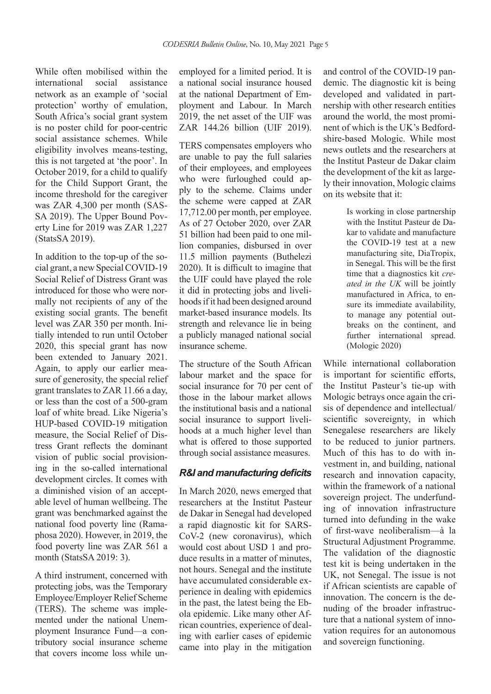While often mobilised within the international social assistance network as an example of 'social protection' worthy of emulation, South Africa's social grant system is no poster child for poor-centric social assistance schemes. While eligibility involves means-testing, this is not targeted at 'the poor'. In October 2019, for a child to qualify for the Child Support Grant, the income threshold for the caregiver was ZAR 4,300 per month (SAS-SA 2019). The Upper Bound Poverty Line for 2019 was ZAR 1,227 (StatsSA 2019).

In addition to the top-up of the social grant, a new Special COVID-19 Social Relief of Distress Grant was introduced for those who were normally not recipients of any of the existing social grants. The benefit level was ZAR 350 per month. Initially intended to run until October 2020, this special grant has now been extended to January 2021. Again, to apply our earlier measure of generosity, the special relief grant translates to ZAR 11.66 a day, or less than the cost of a 500-gram loaf of white bread. Like Nigeria's HUP-based COVID-19 mitigation measure, the Social Relief of Distress Grant reflects the dominant vision of public social provisioning in the so-called international development circles. It comes with a diminished vision of an acceptable level of human wellbeing. The grant was benchmarked against the national food poverty line (Ramaphosa 2020). However, in 2019, the food poverty line was ZAR 561 a month (StatsSA 2019: 3).

A third instrument, concerned with protecting jobs, was the Temporary Employee/Employer Relief Scheme (TERS). The scheme was implemented under the national Unemployment Insurance Fund—a contributory social insurance scheme that covers income loss while unemployed for a limited period. It is a national social insurance housed at the national Department of Employment and Labour. In March 2019, the net asset of the UIF was ZAR 144.26 billion (UIF 2019).

TERS compensates employers who are unable to pay the full salaries of their employees, and employees who were furloughed could apply to the scheme. Claims under the scheme were capped at ZAR 17,712.00 per month, per employee. As of 27 October 2020, over ZAR 51 billion had been paid to one million companies, disbursed in over 11.5 million payments (Buthelezi 2020). It is difficult to imagine that the UIF could have played the role it did in protecting jobs and livelihoods if it had been designed around market-based insurance models. Its strength and relevance lie in being a publicly managed national social insurance scheme.

The structure of the South African labour market and the space for social insurance for 70 per cent of those in the labour market allows the institutional basis and a national social insurance to support livelihoods at a much higher level than what is offered to those supported through social assistance measures.

#### *R&I and manufacturing deficits*

In March 2020, news emerged that researchers at the Institut Pasteur de Dakar in Senegal had developed a rapid diagnostic kit for SARS-CoV-2 (new coronavirus), which would cost about USD 1 and produce results in a matter of minutes, not hours. Senegal and the institute have accumulated considerable experience in dealing with epidemics in the past, the latest being the Ebola epidemic. Like many other African countries, experience of dealing with earlier cases of epidemic came into play in the mitigation and control of the COVID-19 pandemic. The diagnostic kit is being developed and validated in partnership with other research entities around the world, the most prominent of which is the UK's Bedfordshire-based Mologic. While most news outlets and the researchers at the Institut Pasteur de Dakar claim the development of the kit as largely their innovation, Mologic claims on its website that it:

> Is working in close partnership with the Institut Pasteur de Dakar to validate and manufacture the COVID-19 test at a new manufacturing site, DiaTropix, in Senegal. This will be the first time that a diagnostics kit *created in the UK* will be jointly manufactured in Africa, to ensure its immediate availability, to manage any potential outbreaks on the continent, and further international spread. (Mologic 2020)

While international collaboration is important for scientific efforts, the Institut Pasteur's tie-up with Mologic betrays once again the crisis of dependence and intellectual/ scientific sovereignty, in which Senegalese researchers are likely to be reduced to junior partners. Much of this has to do with investment in, and building, national research and innovation capacity, within the framework of a national sovereign project. The underfunding of innovation infrastructure turned into defunding in the wake of first-wave neoliberalism—à la Structural Adjustment Programme. The validation of the diagnostic test kit is being undertaken in the UK, not Senegal. The issue is not if African scientists are capable of innovation. The concern is the denuding of the broader infrastructure that a national system of innovation requires for an autonomous and sovereign functioning.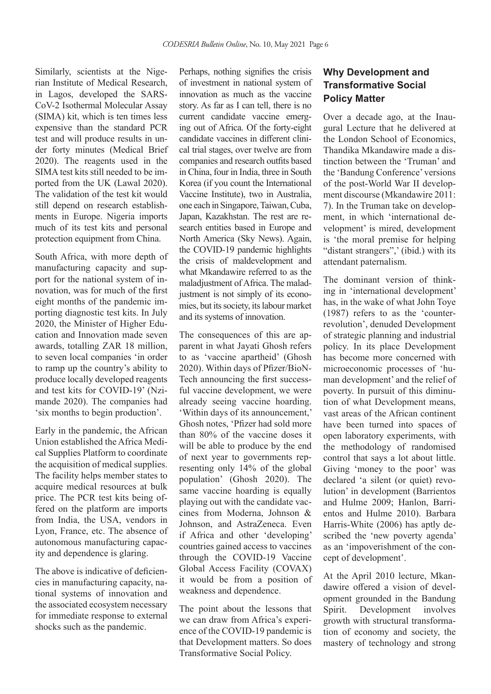Similarly, scientists at the Nigerian Institute of Medical Research, in Lagos, developed the SARS-CoV-2 Isothermal Molecular Assay (SIMA) kit, which is ten times less expensive than the standard PCR test and will produce results in under forty minutes (Medical Brief 2020). The reagents used in the SIMA test kits still needed to be imported from the UK (Lawal 2020). The validation of the test kit would still depend on research establishments in Europe. Nigeria imports much of its test kits and personal protection equipment from China.

South Africa, with more depth of manufacturing capacity and support for the national system of innovation, was for much of the first eight months of the pandemic importing diagnostic test kits. In July 2020, the Minister of Higher Education and Innovation made seven awards, totalling ZAR 18 million, to seven local companies 'in order to ramp up the country's ability to produce locally developed reagents and test kits for COVID-19' (Nzimande 2020). The companies had 'six months to begin production'.

Early in the pandemic, the African Union established the Africa Medical Supplies Platform to coordinate the acquisition of medical supplies. The facility helps member states to acquire medical resources at bulk price. The PCR test kits being offered on the platform are imports from India, the USA, vendors in Lyon, France, etc. The absence of autonomous manufacturing capacity and dependence is glaring.

The above is indicative of deficiencies in manufacturing capacity, national systems of innovation and the associated ecosystem necessary for immediate response to external shocks such as the pandemic.

Perhaps, nothing signifies the crisis of investment in national system of innovation as much as the vaccine story. As far as I can tell, there is no current candidate vaccine emerging out of Africa. Of the forty-eight candidate vaccines in different clinical trial stages, over twelve are from companies and research outfits based in China, four in India, three in South Korea (if you count the International Vaccine Institute), two in Australia, one each in Singapore, Taiwan, Cuba, Japan, Kazakhstan. The rest are research entities based in Europe and North America (Sky News). Again, the COVID-19 pandemic highlights the crisis of maldevelopment and what Mkandawire referred to as the maladjustment of Africa. The maladjustment is not simply of its economies, but its society, its labour market and its systems of innovation.

The consequences of this are apparent in what Jayati Ghosh refers to as 'vaccine apartheid' (Ghosh 2020). Within days of Pfizer/BioN-Tech announcing the first successful vaccine development, we were already seeing vaccine hoarding. 'Within days of its announcement,' Ghosh notes, 'Pfizer had sold more than 80% of the vaccine doses it will be able to produce by the end of next year to governments representing only 14% of the global population' (Ghosh 2020). The same vaccine hoarding is equally playing out with the candidate vaccines from Moderna, Johnson & Johnson, and AstraZeneca. Even if Africa and other 'developing' countries gained access to vaccines through the COVID-19 Vaccine Global Access Facility (COVAX) it would be from a position of weakness and dependence.

The point about the lessons that we can draw from Africa's experience of the COVID-19 pandemic is that Development matters. So does Transformative Social Policy.

## **Why Development and Transformative Social Policy Matter**

Over a decade ago, at the Inaugural Lecture that he delivered at the London School of Economics, Thandika Mkandawire made a distinction between the 'Truman' and the 'Bandung Conference' versions of the post-World War II development discourse (Mkandawire 2011: 7). In the Truman take on development, in which 'international development' is mired, development is 'the moral premise for helping "distant strangers",' (ibid.) with its attendant paternalism.

The dominant version of thinking in 'international development' has, in the wake of what John Toye (1987) refers to as the 'counterrevolution', denuded Development of strategic planning and industrial policy. In its place Development has become more concerned with microeconomic processes of 'human development' and the relief of poverty. In pursuit of this diminution of what Development means, vast areas of the African continent have been turned into spaces of open laboratory experiments, with the methodology of randomised control that says a lot about little. Giving 'money to the poor' was declared 'a silent (or quiet) revolution' in development (Barrientos and Hulme 2009; Hanlon, Barrientos and Hulme 2010). Barbara Harris-White (2006) has aptly described the 'new poverty agenda' as an 'impoverishment of the concept of development'.

At the April 2010 lecture, Mkandawire offered a vision of development grounded in the Bandung Spirit. Development involves growth with structural transformation of economy and society, the mastery of technology and strong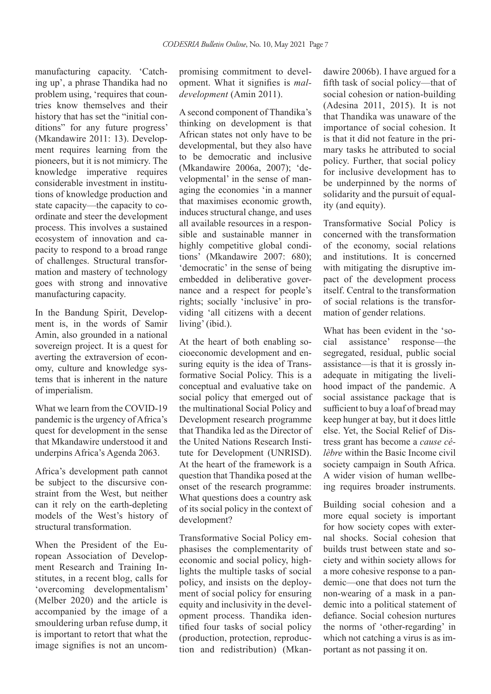manufacturing capacity. 'Catching up', a phrase Thandika had no problem using, 'requires that countries know themselves and their history that has set the "initial conditions" for any future progress' (Mkandawire 2011: 13). Development requires learning from the pioneers, but it is not mimicry. The knowledge imperative requires considerable investment in institutions of knowledge production and state capacity—the capacity to coordinate and steer the development process. This involves a sustained ecosystem of innovation and capacity to respond to a broad range of challenges. Structural transformation and mastery of technology goes with strong and innovative manufacturing capacity.

In the Bandung Spirit, Development is, in the words of Samir Amin, also grounded in a national sovereign project. It is a quest for averting the extraversion of economy, culture and knowledge systems that is inherent in the nature of imperialism.

What we learn from the COVID-19 pandemic is the urgency of Africa's quest for development in the sense that Mkandawire understood it and underpins Africa's Agenda 2063.

Africa's development path cannot be subject to the discursive constraint from the West, but neither can it rely on the earth-depleting models of the West's history of structural transformation.

When the President of the European Association of Development Research and Training Institutes, in a recent blog, calls for 'overcoming developmentalism' (Melber 2020) and the article is accompanied by the image of a smouldering urban refuse dump, it is important to retort that what the image signifies is not an uncompromising commitment to development. What it signifies is *maldevelopment* (Amin 2011).

A second component of Thandika's thinking on development is that African states not only have to be developmental, but they also have to be democratic and inclusive (Mkandawire 2006a, 2007); 'developmental' in the sense of managing the economies 'in a manner that maximises economic growth, induces structural change, and uses all available resources in a responsible and sustainable manner in highly competitive global conditions' (Mkandawire 2007: 680); 'democratic' in the sense of being embedded in deliberative governance and a respect for people's rights; socially 'inclusive' in providing 'all citizens with a decent living' (ibid.).

At the heart of both enabling socioeconomic development and ensuring equity is the idea of Transformative Social Policy. This is a conceptual and evaluative take on social policy that emerged out of the multinational Social Policy and Development research programme that Thandika led as the Director of the United Nations Research Institute for Development (UNRISD). At the heart of the framework is a question that Thandika posed at the onset of the research programme: What questions does a country ask of its social policy in the context of development?

Transformative Social Policy emphasises the complementarity of economic and social policy, highlights the multiple tasks of social policy, and insists on the deployment of social policy for ensuring equity and inclusivity in the development process. Thandika identified four tasks of social policy (production, protection, reproduction and redistribution) (Mkandawire 2006b). I have argued for a fifth task of social policy—that of social cohesion or nation-building (Adesina 2011, 2015). It is not that Thandika was unaware of the importance of social cohesion. It is that it did not feature in the primary tasks he attributed to social policy. Further, that social policy for inclusive development has to be underpinned by the norms of solidarity and the pursuit of equality (and equity).

Transformative Social Policy is concerned with the transformation of the economy, social relations and institutions. It is concerned with mitigating the disruptive impact of the development process itself. Central to the transformation of social relations is the transformation of gender relations.

What has been evident in the 'social assistance' response—the segregated, residual, public social assistance—is that it is grossly inadequate in mitigating the livelihood impact of the pandemic. A social assistance package that is sufficient to buy a loaf of bread may keep hunger at bay, but it does little else. Yet, the Social Relief of Distress grant has become a *cause célèbre* within the Basic Income civil society campaign in South Africa. A wider vision of human wellbeing requires broader instruments.

Building social cohesion and a more equal society is important for how society copes with external shocks. Social cohesion that builds trust between state and society and within society allows for a more cohesive response to a pandemic—one that does not turn the non-wearing of a mask in a pandemic into a political statement of defiance. Social cohesion nurtures the norms of 'other-regarding' in which not catching a virus is as important as not passing it on.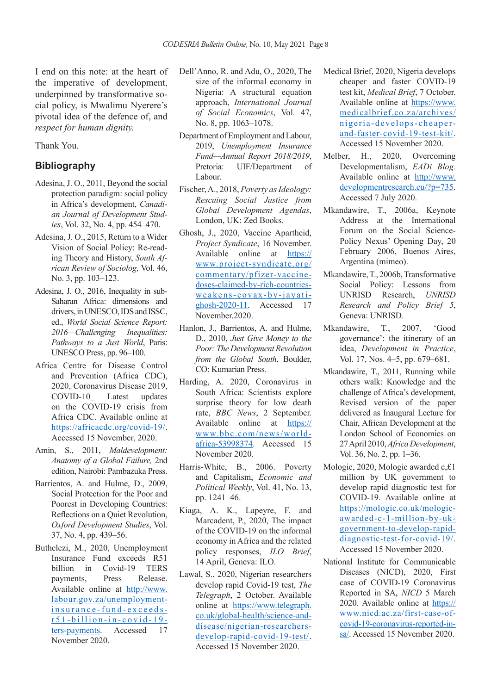I end on this note: at the heart of the imperative of development, underpinned by transformative social policy, is Mwalimu Nyerere's pivotal idea of the defence of, and *respect for human dignity.*

Thank You.

#### **Bibliography**

- Adesina, J. O., 2011, Beyond the social protection paradigm: social policy in Africa's development, *Canadian Journal of Development Studies*, Vol. 32, No. 4, pp. 454–470.
- Adesina, J. O., 2015, Return to a Wider Vision of Social Policy: Re-reading Theory and History, *South African Review of Sociolog,* Vol. 46, No. 3, pp. 103–123.
- Adesina, J. O., 2016, Inequality in sub-Saharan Africa: dimensions and drivers, in UNESCO, IDS and ISSC, ed., *World Social Science Report: 2016—Challenging Inequalities: Pathways to a Just World*, Paris: UNESCO Press, pp. 96–100.
- Africa Centre for Disease Control and Prevention (Africa CDC), 2020, Coronavirus Disease 2019, COVID-10\_ Latest updates on the COVID-19 crisis from Africa CDC. Available online at https://africacdc.org/covid-19/. Accessed 15 November, 2020.
- Amin, S., 2011, *Maldevelopment: Anatomy of a Global Failure,* 2nd edition, Nairobi: Pambazuka Press.
- Barrientos, A. and Hulme, D., 2009, Social Protection for the Poor and Poorest in Developing Countries: Reflections on a Quiet Revolution, *Oxford Development Studies*, Vol. 37, No. 4, pp. 439–56.
- Buthelezi, M., 2020, Unemployment Insurance Fund exceeds R51 billion in Covid-19 TERS payments, Press Release. Available online at http://www. labour.gov.za/unemploymentinsurance-fund-exceedsr51-billion-in-covid-19 ters-payments. Accessed 17 November 2020.
- Dell'Anno, R. and Adu, O., 2020, The size of the informal economy in Nigeria: A structural equation approach, *International Journal of Social Economics*, Vol. 47, No. 8, pp. 1063–1078.
- Department of Employment and Labour, 2019, *Unemployment Insurance Fund—Annual Report 2018/2019*, Pretoria: UIF/Department of Labour.
- Fischer, A., 2018, *Poverty as Ideology: Rescuing Social Justice from Global Development Agendas*, London, UK: Zed Books.
- Ghosh, J., 2020, Vaccine Apartheid, *Project Syndicate*, 16 November. Available online at https:// www.project-syndicate.org/ commentary/pfizer-vaccinedoses-claimed-by-rich-countriesweakens-covax-by-jayatighosh-2020-11. Accessed 17 November.2020.
- Hanlon, J., Barrientos, A. and Hulme, D., 2010, *Just Give Money to the Poor: The Development Revolution from the Global South*, Boulder, CO: Kumarian Press.
- Harding, A. 2020, Coronavirus in South Africa: Scientists explore surprise theory for low death rate, *BBC News*, 2 September. Available online at https:// www.bbc.com/news/worldafrica-53998374. Accessed 15 November 2020.
- Harris-White, B., 2006. Poverty and Capitalism, *Economic and Political Weekly*, Vol. 41, No. 13, pp. 1241–46.
- Kiaga, A. K., Lapeyre, F. and Marcadent, P., 2020, The impact of the COVID-19 on the informal economy in Africa and the related policy responses, *ILO Brief*, 14 April, Geneva: ILO.
- Lawal, S., 2020, Nigerian researchers develop rapid Covid-19 test, *The Telegraph*, 2 October. Available online at https://www.telegraph. co.uk/global-health/science-anddisease/nigerian-researchersdevelop-rapid-covid-19-test/. Accessed 15 November 2020.
- Medical Brief, 2020, Nigeria develops cheaper and faster COVID-19 test kit, *Medical Brief*, 7 October. Available online at https://www. medicalbrief.co.za/archives/ nigeria-develops-cheaperand-faster-covid-19-test-kit/. Accessed 15 November 2020.
- Melber, H., 2020, Overcoming Developmentalism, *EADi Blog.*  Available online at http://www. developmentresearch.eu/?p=735. Accessed 7 July 2020.
- Mkandawire, T., 2006a, Keynote Address at the International Forum on the Social Science-Policy Nexus' Opening Day, 20 February 2006, Buenos Aires, Argentina (mimeo).
- Mkandawire, T., 2006b, Transformative Social Policy: Lessons from UNRISD Research, *UNRISD Research and Policy Brief 5*, Geneva: UNRISD.
- Mkandawire, T., 2007, 'Good governance': the itinerary of an idea, *Development in Practice*, Vol. 17, Nos. 4–5, pp. 679–681.
- Mkandawire, T., 2011, Running while others walk: Knowledge and the challenge of Africa's development, Revised version of the paper delivered as Inaugural Lecture for Chair, African Development at the London School of Economics on 27 April 2010, *Africa Development*, Vol. 36, No. 2, pp. 1–36.
- Mologic, 2020, Mologic awarded c,£1 million by UK government to develop rapid diagnostic test for COVID-19. Available online at https://mologic.co.uk/mologicawarded-c-1-million-by-ukgovernment-to-develop-rapiddiagnostic-test-for-covid-19/. Accessed 15 November 2020.
- National Institute for Communicable Diseases (NICD), 2020, First case of COVID-19 Coronavirus Reported in SA, *NICD* 5 March 2020. Available online at https:// www.nicd.ac.za/first-case-ofcovid-19-coronavirus-reported-insa/. Accessed 15 November 2020.